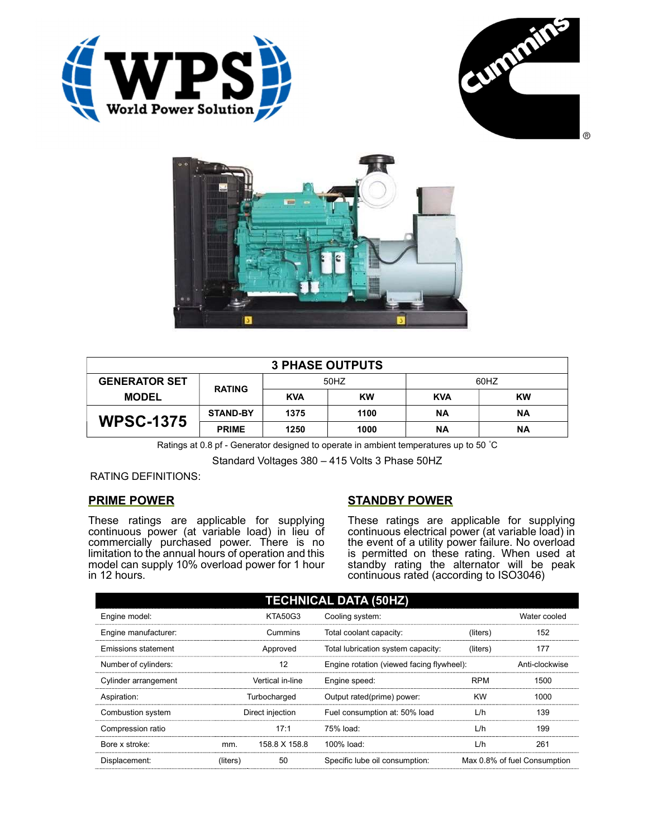





| <b>3 PHASE OUTPUTS</b> |                 |            |           |            |           |
|------------------------|-----------------|------------|-----------|------------|-----------|
| <b>GENERATOR SET</b>   | <b>RATING</b>   | 50HZ       |           | 60HZ       |           |
| <b>MODEL</b>           |                 | <b>KVA</b> | <b>KW</b> | <b>KVA</b> | <b>KW</b> |
| <b>WPSC-1375</b>       | <b>STAND-BY</b> | 1375       | 1100      | <b>NA</b>  | <b>NA</b> |
|                        | <b>PRIME</b>    | 1250       | 1000      | ΝA         | <b>NA</b> |

Ratings at 0.8 pf - Generator designed to operate in ambient temperatures up to 50 °C

Standard Voltages 380 – 415 Volts 3 Phase 50HZ

## RATING DEFINITIONS:

## PRIME POWER

These ratings are applicable for supplying continuous power (at variable load) in lieu of commercially purchased power. There is no limitation to the annual hours of operation and this model can supply 10% overload power for 1 hour in 12 hours.

## STANDBY POWER

These ratings are applicable for supplying continuous electrical power (at variable load) in the event of a utility power failure. No overload is permitted on these rating. When used at standby rating the alternator will be peak continuous rated (according to ISO3046)

| <b>TECHNICAL DATA (50HZ)</b> |                  |               |                                           |            |                              |
|------------------------------|------------------|---------------|-------------------------------------------|------------|------------------------------|
| Engine model:                | <b>KTA50G3</b>   |               | Cooling system:                           |            | Water cooled                 |
| Engine manufacturer:         | Cummins          |               | Total coolant capacity:                   | (liters)   | 152                          |
| <b>Emissions statement</b>   | Approved         |               | Total lubrication system capacity:        | (liters)   | 177                          |
| Number of cylinders:         | 12               |               | Engine rotation (viewed facing flywheel): |            | Anti-clockwise               |
| Cylinder arrangement         | Vertical in-line |               | Engine speed:                             | <b>RPM</b> | 1500                         |
| Aspiration:                  | Turbocharged     |               | Output rated(prime) power:                | <b>KW</b>  | 1000                         |
| Combustion system            | Direct injection |               | Fuel consumption at: 50% load             | L/h        | 139                          |
| Compression ratio            |                  | 17:1          | 75% load:                                 | L/h        | 199                          |
| Bore x stroke:               | mm.              | 158.8 X 158.8 | 100% load:                                | L/h        | 261                          |
| Displacement:                | (liters)         | 50            | Specific lube oil consumption:            |            | Max 0.8% of fuel Consumption |